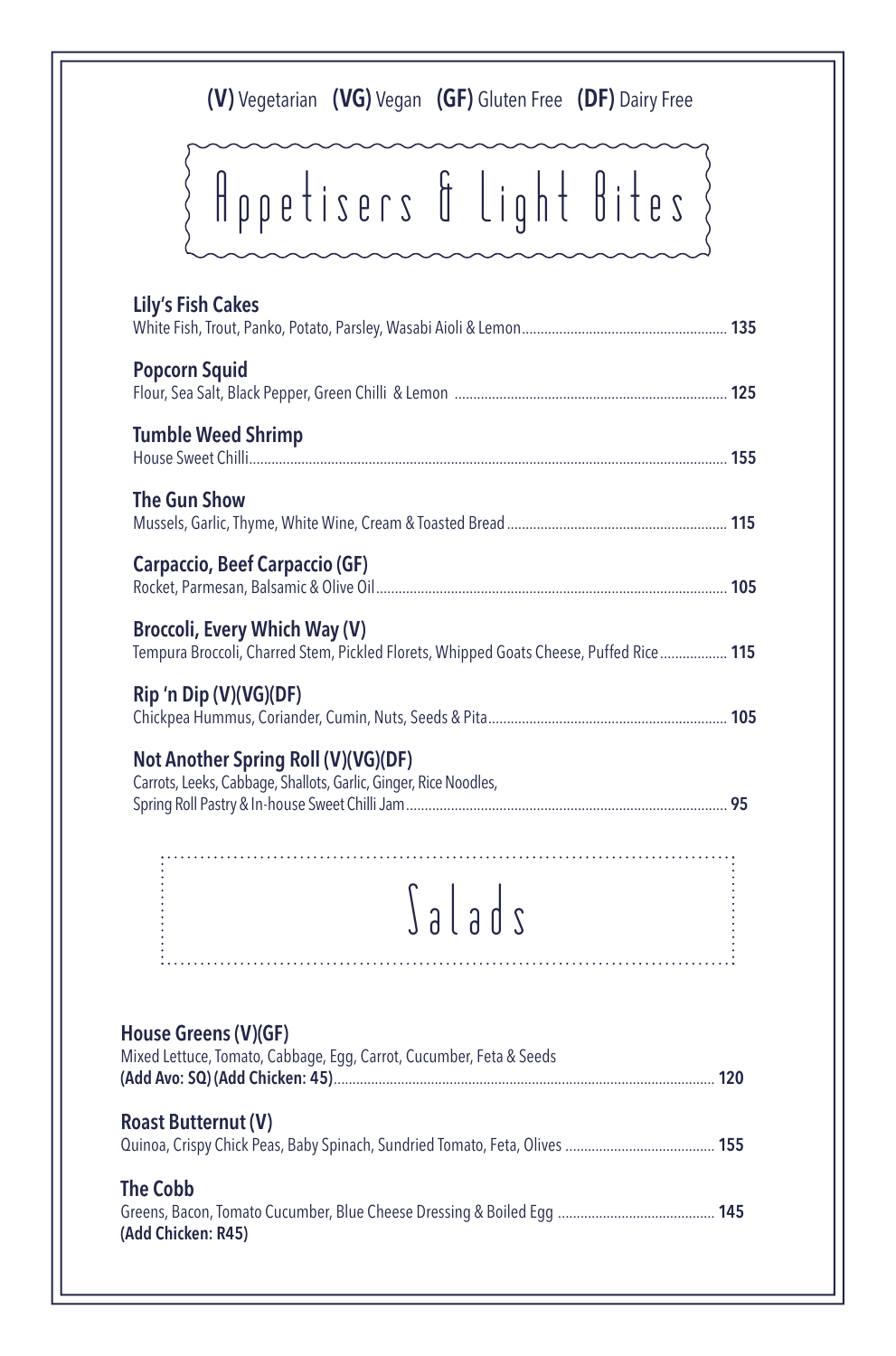### (V) Vegetarian (VG) Vegan (GF) Gluten Free (DF) Dairy Free

# Appetisers & Light Bites }

| <b>Lily's Fish Cakes</b>                                                                                |                                                                                        |  |
|---------------------------------------------------------------------------------------------------------|----------------------------------------------------------------------------------------|--|
| <b>Popcorn Squid</b>                                                                                    |                                                                                        |  |
| <b>Tumble Weed Shrimp</b>                                                                               |                                                                                        |  |
| <b>The Gun Show</b>                                                                                     |                                                                                        |  |
| Carpaccio, Beef Carpaccio (GF)                                                                          |                                                                                        |  |
| <b>Broccoli, Every Which Way (V)</b>                                                                    | Tempura Broccoli, Charred Stem, Pickled Florets, Whipped Goats Cheese, Puffed Rice 115 |  |
| Rip 'n Dip (V)(VG)(DF)                                                                                  |                                                                                        |  |
| Not Another Spring Roll (V)(VG)(DF)<br>Carrots, Leeks, Cabbage, Shallots, Garlic, Ginger, Rice Noodles, |                                                                                        |  |
|                                                                                                         | $\int a \mid a \mid s$                                                                 |  |
| House Greens (V)(GF)<br>Mixed Lettuce, Tomato, Cabbage, Egg, Carrot, Cucumber, Feta & Seeds             |                                                                                        |  |
| <b>Roast Butternut (V)</b>                                                                              |                                                                                        |  |
| <b>The Cobb</b>                                                                                         |                                                                                        |  |

Greens, Bacon, Tomato Cucumber, Blue Cheese Dressing & Boiled Egg .......................................... 145

(Add Chicken: R45)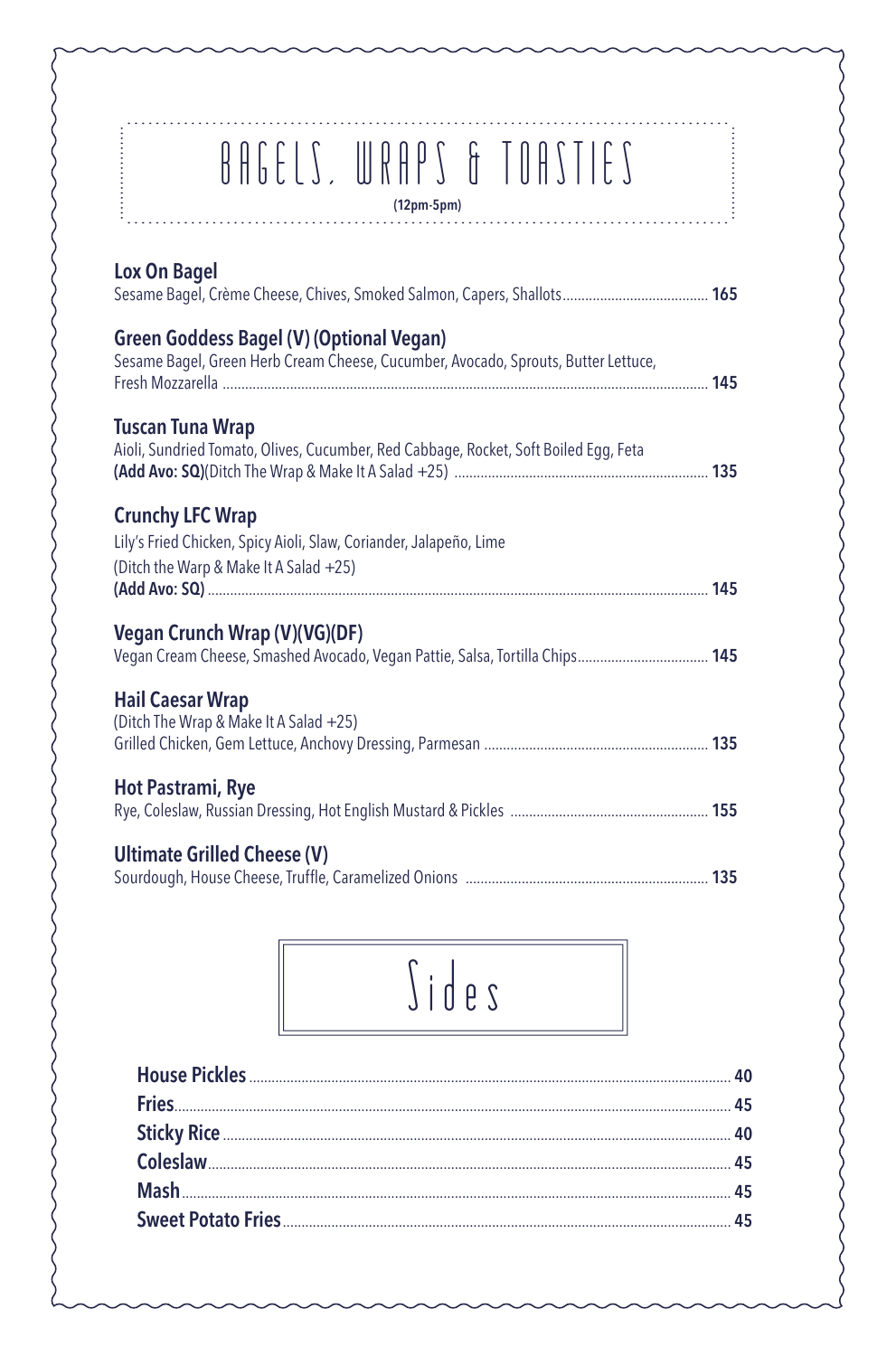|                          | BAGELS, WRAPS & TOASTIES<br>$(12pm-5pm)$                                                                                              |  |
|--------------------------|---------------------------------------------------------------------------------------------------------------------------------------|--|
| Lox On Bagel             |                                                                                                                                       |  |
|                          | <b>Green Goddess Bagel (V) (Optional Vegan)</b><br>Sesame Bagel, Green Herb Cream Cheese, Cucumber, Avocado, Sprouts, Butter Lettuce, |  |
| <b>Tuscan Tuna Wrap</b>  | Aioli, Sundried Tomato, Olives, Cucumber, Red Cabbage, Rocket, Soft Boiled Egg, Feta                                                  |  |
| <b>Crunchy LFC Wrap</b>  | Lily's Fried Chicken, Spicy Aioli, Slaw, Coriander, Jalapeño, Lime<br>(Ditch the Warp & Make It A Salad +25)                          |  |
|                          | Vegan Crunch Wrap (V)(VG)(DF)<br>Vegan Cream Cheese, Smashed Avocado, Vegan Pattie, Salsa, Tortilla Chips 145                         |  |
| <b>Hail Caesar Wrap</b>  | (Ditch The Wrap & Make It A Salad +25)                                                                                                |  |
| <b>Hot Pastrami, Rye</b> |                                                                                                                                       |  |
|                          | <b>Ultimate Grilled Cheese (V)</b>                                                                                                    |  |
|                          |                                                                                                                                       |  |

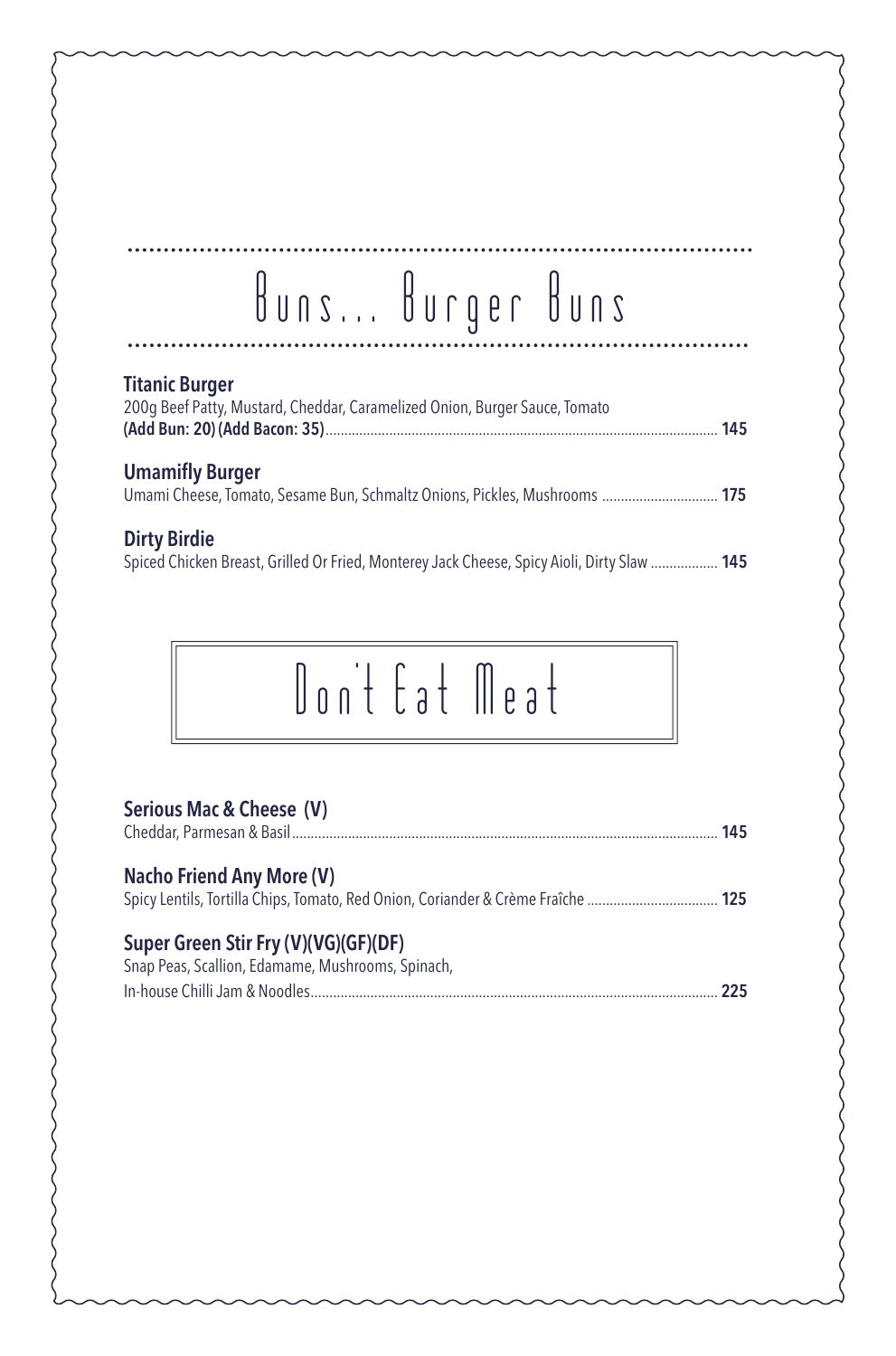### Buns... Burger Buns

### Titanic Burger 200g Beef Patty, Mustard, Cheddar, Caramelized Onion, Burger Sauce, Tomato (Add Bun: 20) (Add Bacon: 35)......................................................................................................... 145 Umamifly Burger Umami Cheese, Tomato, Sesame Bun, Schmaltz Onions, Pickles, Mushrooms ............................... 175 Dirty Birdie Spiced Chicken Breast, Grilled Or Fried, Monterey Jack Cheese, Spicy Aioli, Dirty Slaw .................. 145

# Don't Eat Meat

#### Serious Mac & Cheese (V)

| Super Green Stir Fry (V)(VG)(GF)(DF) |  |
|--------------------------------------|--|
| <b>Nacho Friend Any More (V)</b>     |  |
| 145                                  |  |

| Snap Peas, Scallion, Edamame, Mushrooms, Spinach, |  |
|---------------------------------------------------|--|
|                                                   |  |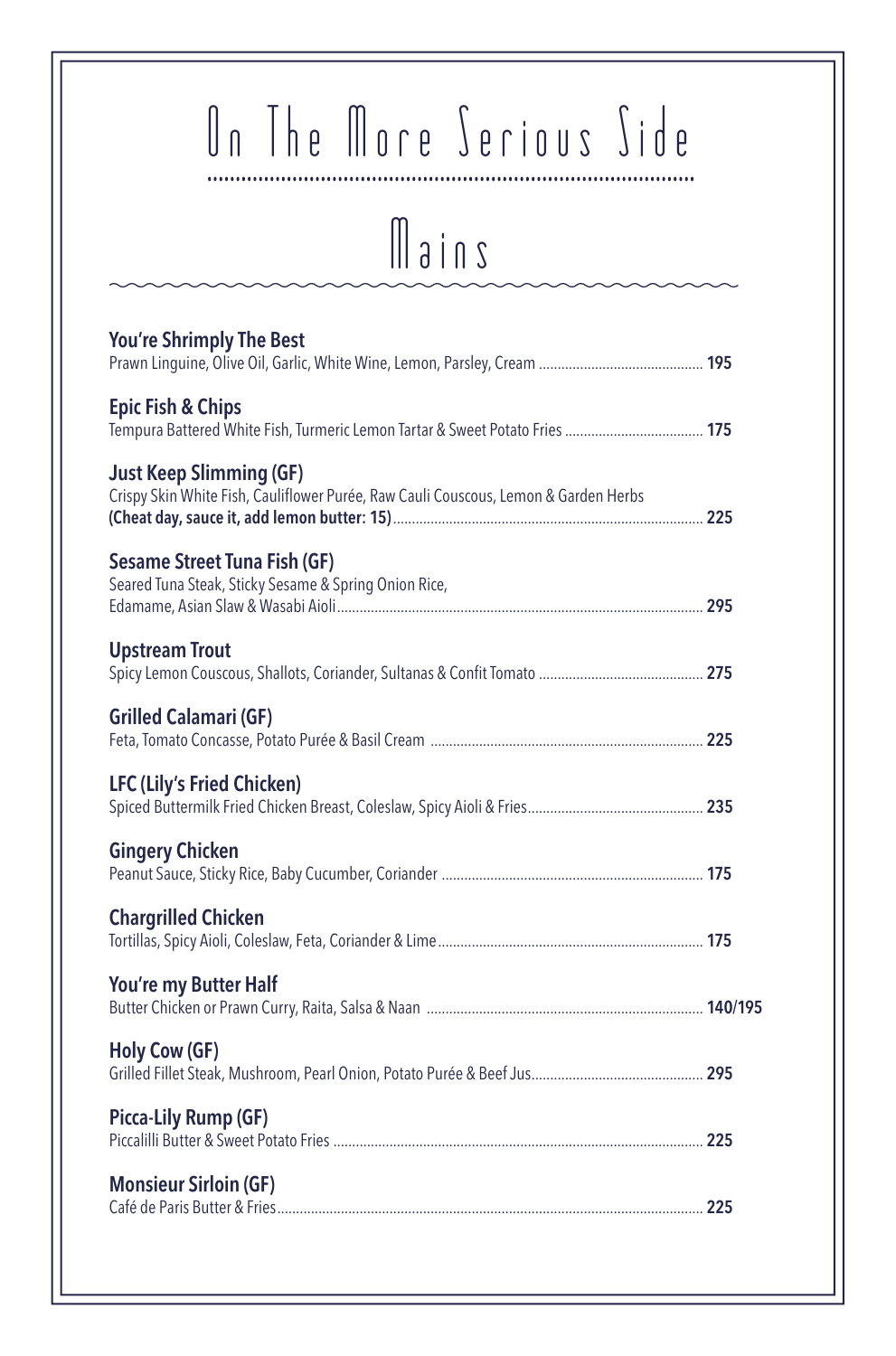# On The More Serious Side

Mains

| <b>You're Shrimply The Best</b>                                                                                       |  |
|-----------------------------------------------------------------------------------------------------------------------|--|
| <b>Epic Fish &amp; Chips</b>                                                                                          |  |
| <b>Just Keep Slimming (GF)</b><br>Crispy Skin White Fish, Cauliflower Purée, Raw Cauli Couscous, Lemon & Garden Herbs |  |
| <b>Sesame Street Tuna Fish (GF)</b><br>Seared Tuna Steak, Sticky Sesame & Spring Onion Rice,                          |  |
| <b>Upstream Trout</b>                                                                                                 |  |
| <b>Grilled Calamari (GF)</b>                                                                                          |  |
| <b>LFC (Lily's Fried Chicken)</b>                                                                                     |  |
| <b>Gingery Chicken</b>                                                                                                |  |
| <b>Chargrilled Chicken</b>                                                                                            |  |
| You're my Butter Half                                                                                                 |  |
| <b>Holy Cow (GF)</b>                                                                                                  |  |
| Picca-Lily Rump (GF)                                                                                                  |  |
| <b>Monsieur Sirloin (GF)</b>                                                                                          |  |
|                                                                                                                       |  |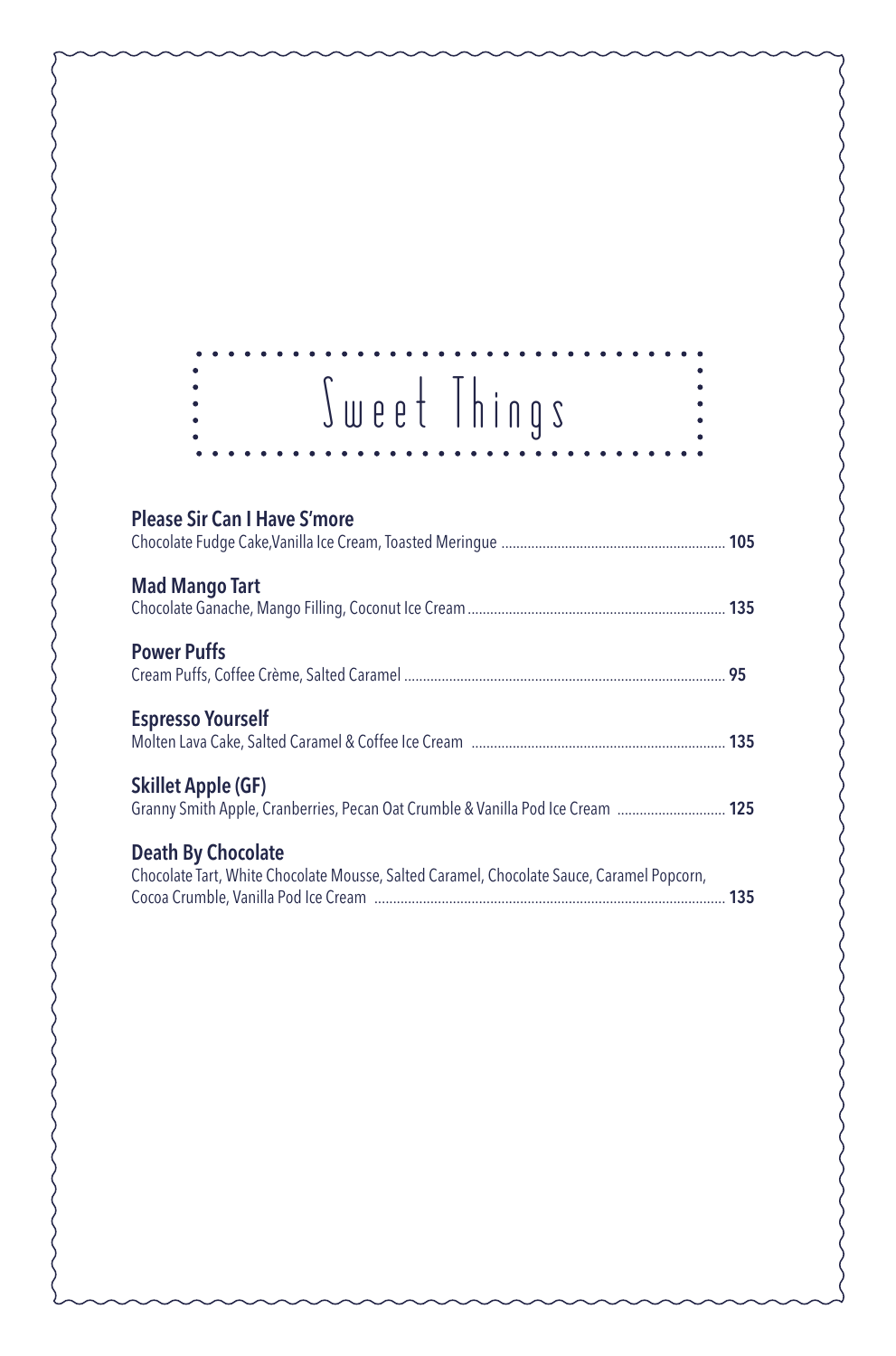| Sweet Things                                                                                                           | $\ddot{\bullet}$ |
|------------------------------------------------------------------------------------------------------------------------|------------------|
| <b>Please Sir Can I Have S'more</b>                                                                                    |                  |
| <b>Mad Mango Tart</b>                                                                                                  |                  |
| <b>Power Puffs</b>                                                                                                     |                  |
| <b>Espresso Yourself</b>                                                                                               |                  |
| <b>Skillet Apple (GF)</b><br>Granny Smith Apple, Cranberries, Pecan Oat Crumble & Vanilla Pod Ice Cream  125           |                  |
| <b>Death By Chocolate</b><br>Chocolate Tart, White Chocolate Mousse, Salted Caramel, Chocolate Sauce, Caramel Popcorn, |                  |